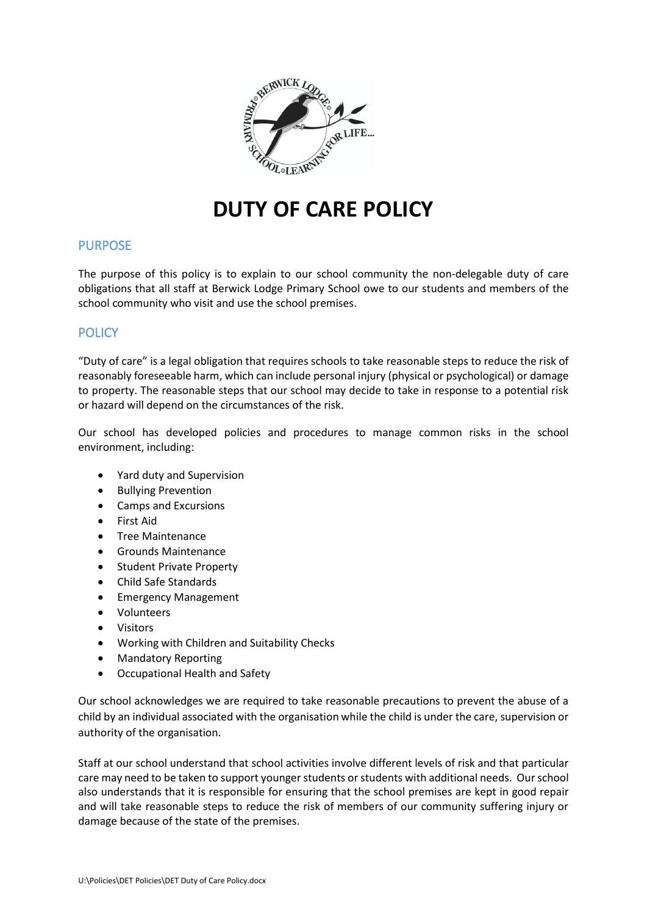

# **DUTY OF CARE POLICY**

## PURPOSE

The purpose of this policy is to explain to our school community the non-delegable duty of care obligations that all staff at Berwick Lodge Primary School owe to our students and members of the school community who visit and use the school premises.

## **POLICY**

"Duty of care" is a legal obligation that requires schools to take reasonable steps to reduce the risk of reasonably foreseeable harm, which can include personal injury (physical or psychological) or damage to property. The reasonable steps that our school may decide to take in response to a potential risk or hazard will depend on the circumstances of the risk.

Our school has developed policies and procedures to manage common risks in the school environment, including:

- Yard duty and Supervision
- Bullying Prevention
- Camps and Excursions
- First Aid
- Tree Maintenance
- Grounds Maintenance
- Student Private Property
- Child Safe Standards
- Emergency Management
- Volunteers
- Visitors
- Working with Children and Suitability Checks
- Mandatory Reporting
- Occupational Health and Safety

Our school acknowledges we are required to take reasonable precautions to prevent the abuse of a child by an individual associated with the organisation while the child is under the care, supervision or authority of the organisation.

Staff at our school understand that school activities involve different levels of risk and that particular care may need to be taken to support younger students or students with additional needs. Our school also understands that it is responsible for ensuring that the school premises are kept in good repair and will take reasonable steps to reduce the risk of members of our community suffering injury or damage because of the state of the premises.